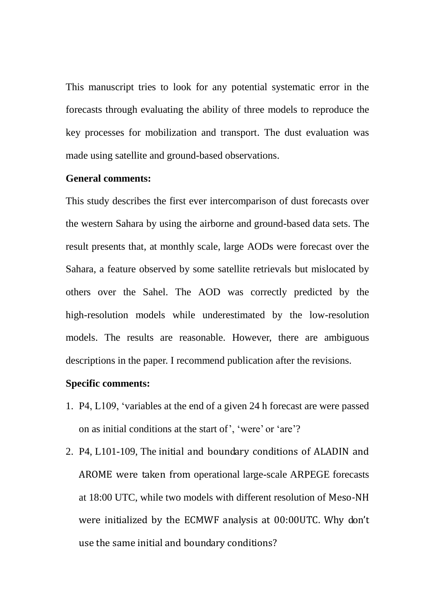This manuscript tries to look for any potential systematic error in the forecasts through evaluating the ability of three models to reproduce the key processes for mobilization and transport. The dust evaluation was made using satellite and ground-based observations.

## **General comments:**

This study describes the first ever intercomparison of dust forecasts over the western Sahara by using the airborne and ground-based data sets. The result presents that, at monthly scale, large AODs were forecast over the Sahara, a feature observed by some satellite retrievals but mislocated by others over the Sahel. The AOD was correctly predicted by the high-resolution models while underestimated by the low-resolution models. The results are reasonable. However, there are ambiguous descriptions in the paper. I recommend publication after the revisions.

## **Specific comments:**

- 1. P4, L109, 'variables at the end of a given 24 h forecast are were passed on as initial conditions at the start of', 'were' or 'are'?
- 2. P4, L101-109, The initial and boundary conditions of ALADIN and AROME were taken from operational large-scale ARPEGE forecasts at 18:00 UTC, while two models with different resolution of Meso-NH were initialized by the ECMWF analysis at 00:00UTC. Why don't use the same initial and boundary conditions?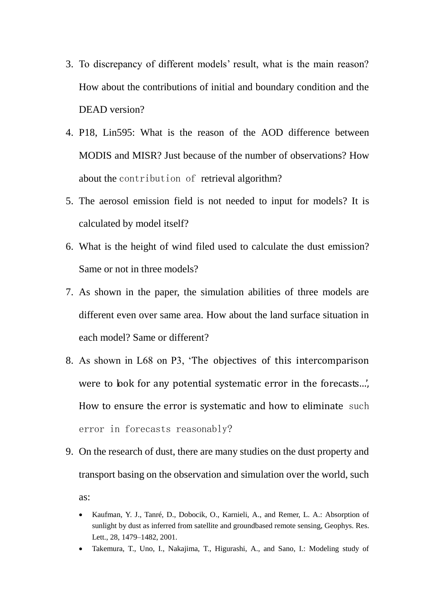- 3. To discrepancy of different models' result, what is the main reason? How about the contributions of initial and boundary condition and the DEAD version?
- 4. P18, Lin595: What is the reason of the AOD difference between MODIS and MISR? Just because of the number of observations? How about the contribution of retrieval algorithm?
- 5. The aerosol emission field is not needed to input for models? It is calculated by model itself?
- 6. What is the height of wind filed used to calculate the dust emission? Same or not in three models?
- 7. As shown in the paper, the simulation abilities of three models are different even over same area. How about the land surface situation in each model? Same or different?
- 8. As shown in L68 on P3, 'The objectives of this intercomparison were to look for any potential systematic error in the forecasts...', How to ensure the error is systematic and how to eliminate such error in forecasts reasonably?
- 9. On the research of dust, there are many studies on the dust property and transport basing on the observation and simulation over the world, such as:
	- Kaufman, Y. J., Tanré, D., Dobocik, O., Karnieli, A., and Remer, L. A.: Absorption of sunlight by dust as inferred from satellite and groundbased remote sensing, Geophys. Res. Lett., 28, 1479–1482, 2001.
	- Takemura, T., Uno, I., Nakajima, T., Higurashi, A., and Sano, I.: Modeling study of